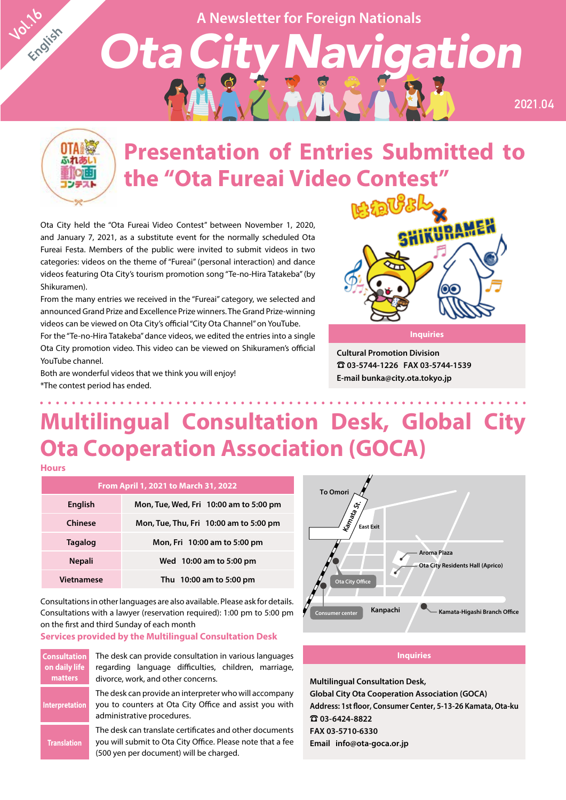**A Newsletter for Foreign Nationals**

*OtaCityNavigation*



**Vol.16** 

**English**

# **Presentation of Entries Submitted to the "Ota Fureai Video Contest"**

Ota City held the "Ota Fureai Video Contest" between November 1, 2020, and January 7, 2021, as a substitute event for the normally scheduled Ota Fureai Festa. Members of the public were invited to submit videos in two categories: videos on the theme of "Fureai" (personal interaction) and dance videos featuring Ota City's tourism promotion song "Te-no-Hira Tatakeba" (by Shikuramen).

From the many entries we received in the "Fureai" category, we selected and announced Grand Prize and Excellence Prize winners. The Grand Prize-winning videos can be viewed on Ota City's official "City Ota Channel" on YouTube.

For the "Te-no-Hira Tatakeba" dance videos, we edited the entries into a single Ota City promotion video. This video can be viewed on Shikuramen's official YouTube channel.

Both are wonderful videos that we think you will enjoy! \*The contest period has ended.



**2021.04**

**Cultural Promotion Division** ☎ **03-5744-1226 FAX 03-5744-1539 E-mail bunka@city.ota.tokyo.jp**

# **Multilingual Consultation Desk, Global City Ota Cooperation Association (GOCA)**

**Hours**

| From April 1, 2021 to March 31, 2022 |                                        |  |  |  |
|--------------------------------------|----------------------------------------|--|--|--|
| English                              | Mon, Tue, Wed, Fri 10:00 am to 5:00 pm |  |  |  |
| Chinese                              | Mon, Tue, Thu, Fri 10:00 am to 5:00 pm |  |  |  |
| <b>Tagalog</b>                       | Mon, Fri 10:00 am to 5:00 pm           |  |  |  |
| <b>Nepali</b>                        | Wed 10:00 am to 5:00 pm                |  |  |  |
| <b>Vietnamese</b>                    | Thu 10:00 am to 5:00 pm                |  |  |  |

Consultations in other languages are also available. Please ask for details. Consultations with a lawyer (reservation required): 1:00 pm to 5:00 pm on the first and third Sunday of each month

#### **Services provided by the Multilingual Consultation Desk**

| <b>Consultation</b><br>on daily life<br><b>matters</b> | The desk can provide consultation in various languages<br>regarding language difficulties, children, marriage,<br>divorce, work, and other concerns.             |  |  |
|--------------------------------------------------------|------------------------------------------------------------------------------------------------------------------------------------------------------------------|--|--|
| <b>Interpretation</b>                                  | The desk can provide an interpreter who will accompany<br>you to counters at Ota City Office and assist you with<br>administrative procedures.                   |  |  |
| <b>Translation</b>                                     | The desk can translate certificates and other documents<br>you will submit to Ota City Office. Please note that a fee<br>(500 yen per document) will be charged. |  |  |



#### **Inquiries**

**Multilingual Consultation Desk, Global City Ota Cooperation Association (GOCA) Address: 1st floor, Consumer Center, 5-13-26 Kamata, Ota-ku** ☎ **03-6424-8822 FAX 03-5710-6330 Email info@ota-goca.or.jp**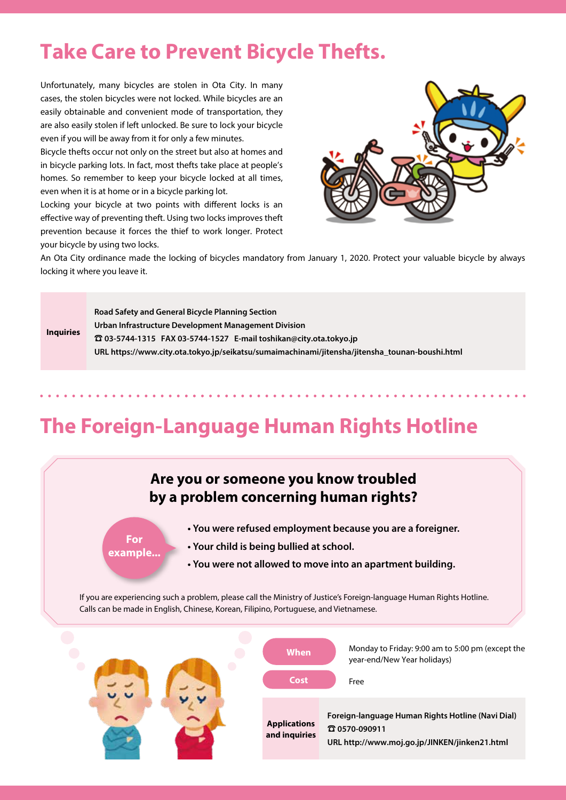### **Take Care to Prevent Bicycle Thefts.**

Unfortunately, many bicycles are stolen in Ota City. In many cases, the stolen bicycles were not locked. While bicycles are an easily obtainable and convenient mode of transportation, they are also easily stolen if left unlocked. Be sure to lock your bicycle even if you will be away from it for only a few minutes.

Bicycle thefts occur not only on the street but also at homes and in bicycle parking lots. In fact, most thefts take place at people's homes. So remember to keep your bicycle locked at all times, even when it is at home or in a bicycle parking lot.

Locking your bicycle at two points with different locks is an effective way of preventing theft. Using two locks improves theft prevention because it forces the thief to work longer. Protect your bicycle by using two locks.



An Ota City ordinance made the locking of bicycles mandatory from January 1, 2020. Protect your valuable bicycle by always locking it where you leave it.

#### **Inquiries Road Safety and General Bicycle Planning Section Urban Infrastructure Development Management Division** ☎ **03-5744-1315 FAX 03-5744-1527 E-mail toshikan@city.ota.tokyo.jp URL https://www.city.ota.tokyo.jp/seikatsu/sumaimachinami/jitensha/jitensha\_tounan-boushi.html**

### **The Foreign-Language Human Rights Hotline**

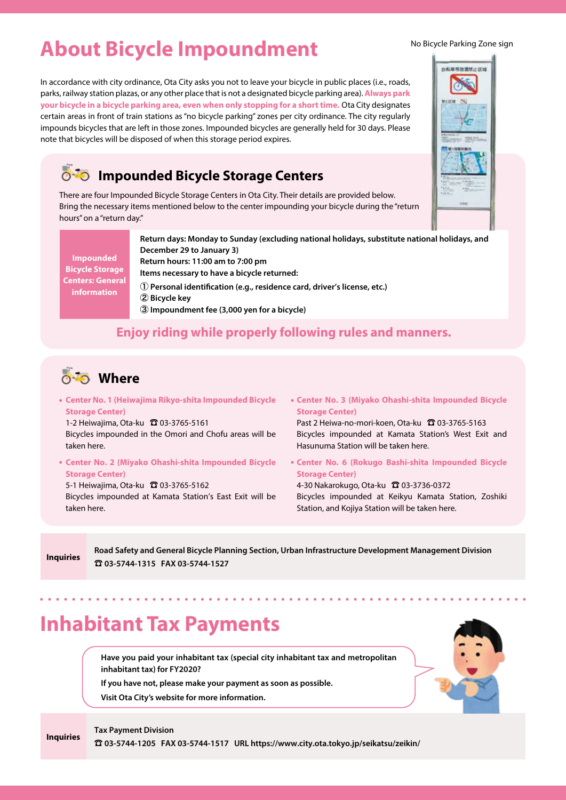### **About Bicycle Impoundment**

In accordance with city ordinance, Ota City asks you not to leave your bicycle in public places (i.e., roads, parks, railway station plazas, or any other place that is not a designated bicycle parking area). **Always park your bicycle in a bicycle parking area, even when only stopping for a short time.** Ota City designates certain areas in front of train stations as "no bicycle parking" zones per city ordinance. The city regularly impounds bicycles that are left in those zones. Impounded bicycles are generally held for 30 days. Please note that bicycles will be disposed of when this storage period expires.

### **Impounded Bicycle Storage Centers**

There are four Impounded Bicycle Storage Centers in Ota City. Their details are provided below. Bring the necessary items mentioned below to the center impounding your bicycle during the "return hours" on a "return day."

**Impounded Bicycle Storage Centers: General information**

**Return days: Monday to Sunday (excluding national holidays, substitute national holidays, and December 29 to January 3) Return hours: 11:00 am to 7:00 pm Items necessary to have a bicycle returned:**  ① **Personal identification (e.g., residence card, driver's license, etc.)** ② **Bicycle key** ③ **Impoundment fee (3,000 yen for a bicycle)**

### **Enjoy riding while properly following rules and manners.**



**Center No. 1 (Heiwajima Rikyo-shita Impounded Bicycle Storage Center)**

1-2 Heiwajima, Ota-ku 2 03-3765-5161 Bicycles impounded in the Omori and Chofu areas will be taken here.

**Center No. 2 (Miyako Ohashi-shita Impounded Bicycle Storage Center)**

5-1 Heiwajima, Ota-ku ☎ 03-3765-5162 Bicycles impounded at Kamata Station's East Exit will be taken here.

**Center No. 3 (Miyako Ohashi-shita Impounded Bicycle Storage Center)**

Past 2 Heiwa-no-mori-koen, Ota-ku <del>Q</del> 03-3765-5163 Bicycles impounded at Kamata Station's West Exit and Hasunuma Station will be taken here.

**Center No. 6 (Rokugo Bashi-shita Impounded Bicycle Storage Center)**

4-30 Nakarokugo, Ota-ku ☎ 03-3736-0372 Bicycles impounded at Keikyu Kamata Station, Zoshiki Station, and Kojiya Station will be taken here.

**Inquiries**

**Inquiries**

**Road Safety and General Bicycle Planning Section, Urban Infrastructure Development Management Division** ☎ **03-5744-1315 FAX 03-5744-1527**

### **Inhabitant Tax Payments**

**Have you paid your inhabitant tax (special city inhabitant tax and metropolitan inhabitant tax) for FY2020?**

**If you have not, please make your payment as soon as possible.**

**Visit Ota City's website for more information.**



**Tax Payment Division**

☎ **03-5744-1205 FAX 03-5744-1517 URL https://www.city.ota.tokyo.jp/seikatsu/zeikin/**

No Bicycle Parking Zone sign